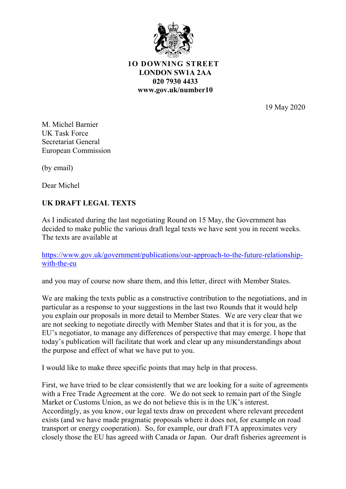

**1O DOWNING STREET LONDON SW1A 2AA 020 7930 4433 www.gov.uk/number10**

19 May 2020

M. Michel Barnier UK Task Force Secretariat General European Commission

(by email)

Dear Michel

## **UK DRAFT LEGAL TEXTS**

As I indicated during the last negotiating Round on 15 May, the Government has decided to make public the various draft legal texts we have sent you in recent weeks. The texts are available at

[https://www.gov.uk/government/publications/our-approach-to-the-future-relationship](https://www.gov.uk/government/publications/our-approach-to-the-future-relationship-with-the-eu)[with-the-eu](https://www.gov.uk/government/publications/our-approach-to-the-future-relationship-with-the-eu)

and you may of course now share them, and this letter, direct with Member States.

We are making the texts public as a constructive contribution to the negotiations, and in particular as a response to your suggestions in the last two Rounds that it would help you explain our proposals in more detail to Member States. We are very clear that we are not seeking to negotiate directly with Member States and that it is for you, as the EU's negotiator, to manage any differences of perspective that may emerge. I hope that today's publication will facilitate that work and clear up any misunderstandings about the purpose and effect of what we have put to you.

I would like to make three specific points that may help in that process.

First, we have tried to be clear consistently that we are looking for a suite of agreements with a Free Trade Agreement at the core. We do not seek to remain part of the Single Market or Customs Union, as we do not believe this is in the UK's interest. Accordingly, as you know, our legal texts draw on precedent where relevant precedent exists (and we have made pragmatic proposals where it does not, for example on road transport or energy cooperation). So, for example, our draft FTA approximates very closely those the EU has agreed with Canada or Japan. Our draft fisheries agreement is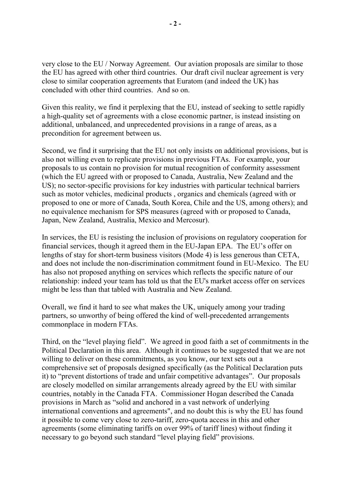very close to the EU / Norway Agreement. Our aviation proposals are similar to those the EU has agreed with other third countries. Our draft civil nuclear agreement is very close to similar cooperation agreements that Euratom (and indeed the UK) has concluded with other third countries. And so on.

Given this reality, we find it perplexing that the EU, instead of seeking to settle rapidly a high-quality set of agreements with a close economic partner, is instead insisting on additional, unbalanced, and unprecedented provisions in a range of areas, as a precondition for agreement between us.

Second, we find it surprising that the EU not only insists on additional provisions, but is also not willing even to replicate provisions in previous FTAs. For example, your proposals to us contain no provision for mutual recognition of conformity assessment (which the EU agreed with or proposed to Canada, Australia, New Zealand and the US); no sector-specific provisions for key industries with particular technical barriers such as motor vehicles, medicinal products , organics and chemicals (agreed with or proposed to one or more of Canada, South Korea, Chile and the US, among others); and no equivalence mechanism for SPS measures (agreed with or proposed to Canada, Japan, New Zealand, Australia, Mexico and Mercosur).

In services, the EU is resisting the inclusion of provisions on regulatory cooperation for financial services, though it agreed them in the EU-Japan EPA. The EU's offer on lengths of stay for short-term business visitors (Mode 4) is less generous than CETA, and does not include the non-discrimination commitment found in EU-Mexico. The EU has also not proposed anything on services which reflects the specific nature of our relationship: indeed your team has told us that the EU's market access offer on services might be less than that tabled with Australia and New Zealand.

Overall, we find it hard to see what makes the UK, uniquely among your trading partners, so unworthy of being offered the kind of well-precedented arrangements commonplace in modern FTAs.

Third, on the "level playing field". We agreed in good faith a set of commitments in the Political Declaration in this area. Although it continues to be suggested that we are not willing to deliver on these commitments, as you know, our text sets out a comprehensive set of proposals designed specifically (as the Political Declaration puts it) to "prevent distortions of trade and unfair competitive advantages". Our proposals are closely modelled on similar arrangements already agreed by the EU with similar countries, notably in the Canada FTA. Commissioner Hogan described the Canada provisions in March as "solid and anchored in a vast network of underlying international conventions and agreements", and no doubt this is why the EU has found it possible to come very close to zero-tariff, zero-quota access in this and other agreements (some eliminating tariffs on over 99% of tariff lines) without finding it necessary to go beyond such standard "level playing field" provisions.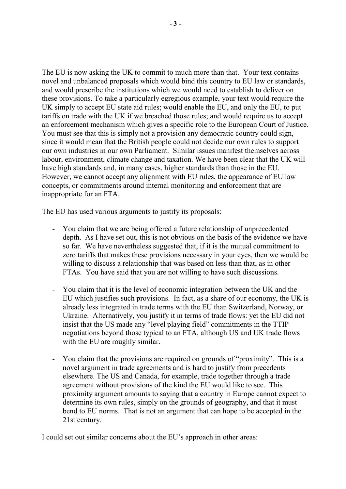The EU is now asking the UK to commit to much more than that. Your text contains novel and unbalanced proposals which would bind this country to EU law or standards, and would prescribe the institutions which we would need to establish to deliver on these provisions. To take a particularly egregious example, your text would require the UK simply to accept EU state aid rules; would enable the EU, and only the EU, to put tariffs on trade with the UK if we breached those rules; and would require us to accept an enforcement mechanism which gives a specific role to the European Court of Justice. You must see that this is simply not a provision any democratic country could sign, since it would mean that the British people could not decide our own rules to support our own industries in our own Parliament. Similar issues manifest themselves across labour, environment, climate change and taxation. We have been clear that the UK will have high standards and, in many cases, higher standards than those in the EU. However, we cannot accept any alignment with EU rules, the appearance of EU law concepts, or commitments around internal monitoring and enforcement that are inappropriate for an FTA.

The EU has used various arguments to justify its proposals:

- You claim that we are being offered a future relationship of unprecedented depth. As I have set out, this is not obvious on the basis of the evidence we have so far. We have nevertheless suggested that, if it is the mutual commitment to zero tariffs that makes these provisions necessary in your eyes, then we would be willing to discuss a relationship that was based on less than that, as in other FTAs. You have said that you are not willing to have such discussions.
- You claim that it is the level of economic integration between the UK and the EU which justifies such provisions. In fact, as a share of our economy, the UK is already less integrated in trade terms with the EU than Switzerland, Norway, or Ukraine. Alternatively, you justify it in terms of trade flows: yet the EU did not insist that the US made any "level playing field" commitments in the TTIP negotiations beyond those typical to an FTA, although US and UK trade flows with the EU are roughly similar.
- You claim that the provisions are required on grounds of "proximity". This is a novel argument in trade agreements and is hard to justify from precedents elsewhere. The US and Canada, for example, trade together through a trade agreement without provisions of the kind the EU would like to see. This proximity argument amounts to saying that a country in Europe cannot expect to determine its own rules, simply on the grounds of geography, and that it must bend to EU norms. That is not an argument that can hope to be accepted in the 21st century.

I could set out similar concerns about the EU's approach in other areas: